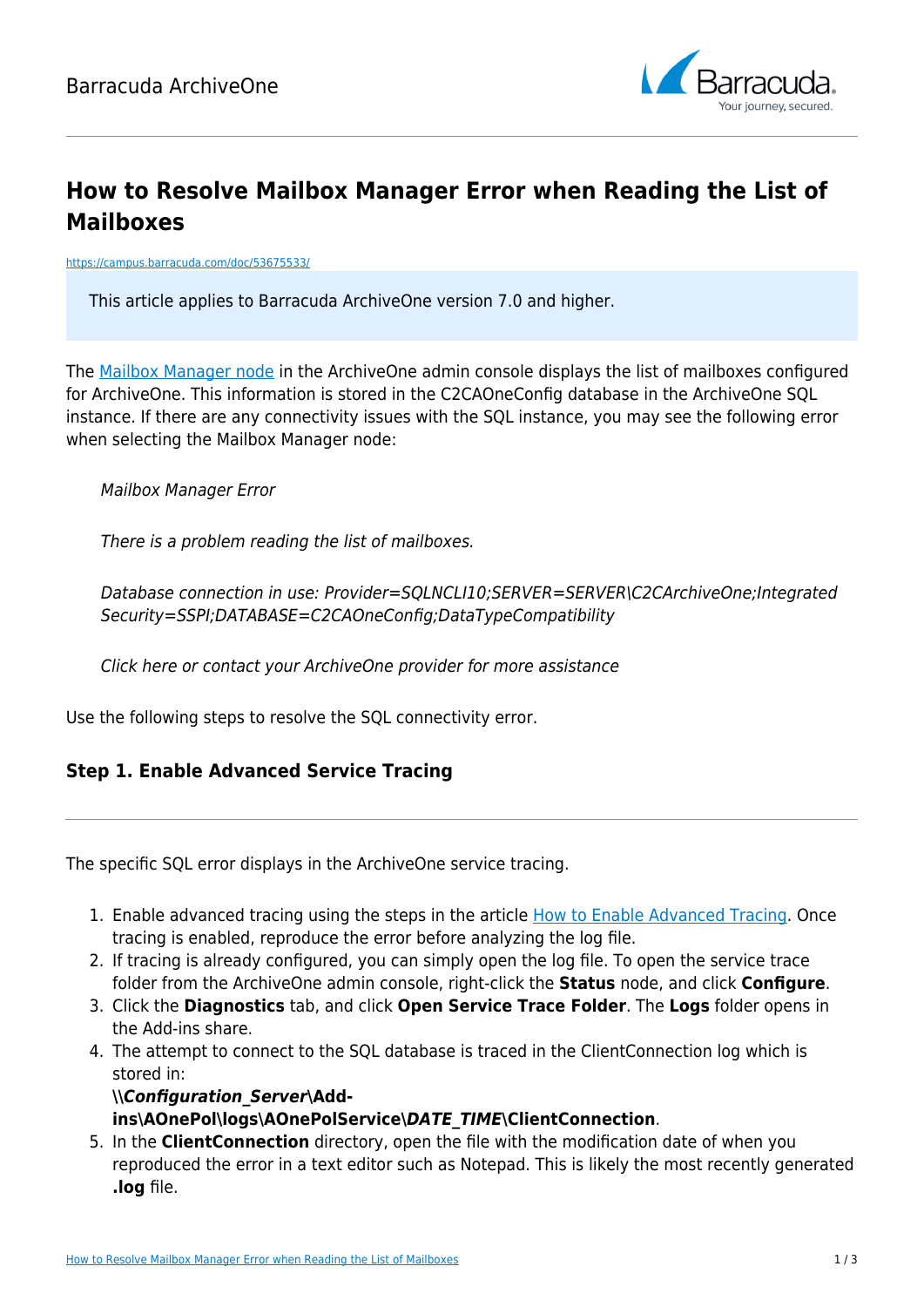

# **How to Resolve Mailbox Manager Error when Reading the List of Mailboxes**

<https://campus.barracuda.com/doc/53675533/>

This article applies to Barracuda ArchiveOne version 7.0 and higher.

The [Mailbox Manager node](http://campus.barracuda.com/doc/43222682/) in the ArchiveOne admin console displays the list of mailboxes configured for ArchiveOne. This information is stored in the C2CAOneConfig database in the ArchiveOne SQL instance. If there are any connectivity issues with the SQL instance, you may see the following error when selecting the Mailbox Manager node:

Mailbox Manager Error

There is a problem reading the list of mailboxes.

Database connection in use: Provider=SQLNCLI10;SERVER=SERVER\C2CArchiveOne;Integrated Security=SSPI;DATABASE=C2CAOneConfig;DataTypeCompatibility

Click here or contact your ArchiveOne provider for more assistance

Use the following steps to resolve the SQL connectivity error.

#### **Step 1. Enable Advanced Service Tracing**

The specific SQL error displays in the ArchiveOne service tracing.

- 1. Enable advanced tracing using the steps in the article [How to Enable Advanced Tracing](http://campus.barracuda.com/doc/46205865/). Once tracing is enabled, reproduce the error before analyzing the log file.
- 2. If tracing is already configured, you can simply open the log file. To open the service trace folder from the ArchiveOne admin console, right-click the **Status** node, and click **Configure**.
- 3. Click the **Diagnostics** tab, and click **Open Service Trace Folder**. The **Logs** folder opens in the Add-ins share.
- 4. The attempt to connect to the SQL database is traced in the ClientConnection log which is stored in:

#### **\\***Configuration\_Server***\Addins\AOnePol\logs\AOnePolService\***DATE\_TIME***\ClientConnection**.

5. In the **ClientConnection** directory, open the file with the modification date of when you reproduced the error in a text editor such as Notepad. This is likely the most recently generated **.log** file.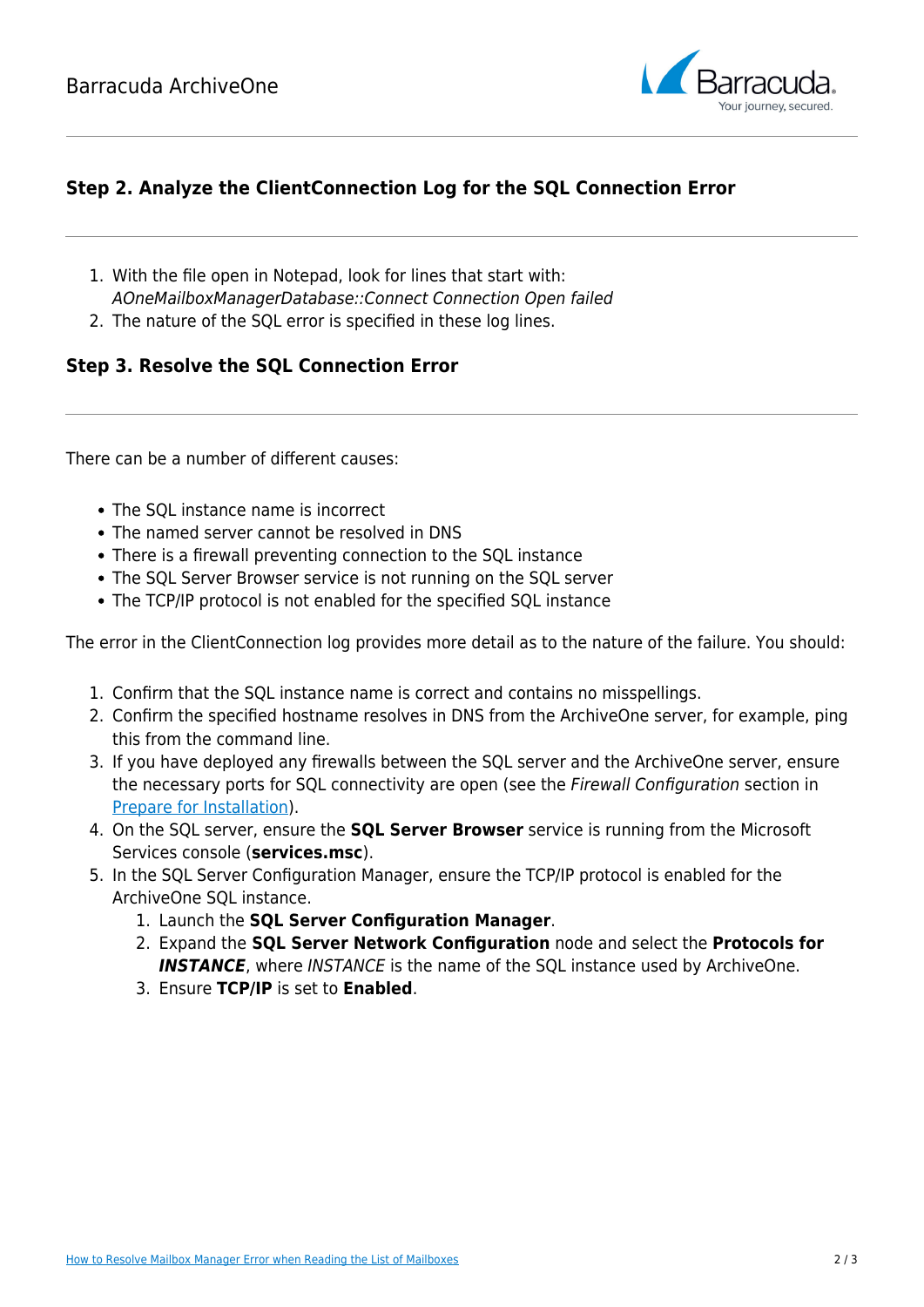

### **Step 2. Analyze the ClientConnection Log for the SQL Connection Error**

- 1. With the file open in Notepad, look for lines that start with: AOneMailboxManagerDatabase::Connect Connection Open failed
- 2. The nature of the SQL error is specified in these log lines.

#### **Step 3. Resolve the SQL Connection Error**

There can be a number of different causes:

- The SQL instance name is incorrect
- The named server cannot be resolved in DNS
- There is a firewall preventing connection to the SQL instance
- The SQL Server Browser service is not running on the SQL server
- The TCP/IP protocol is not enabled for the specified SQL instance

The error in the ClientConnection log provides more detail as to the nature of the failure. You should:

- 1. Confirm that the SQL instance name is correct and contains no misspellings.
- 2. Confirm the specified hostname resolves in DNS from the ArchiveOne server, for example, ping this from the command line.
- 3. If you have deployed any firewalls between the SQL server and the ArchiveOne server, ensure the necessary ports for SQL connectivity are open (see the Firewall Configuration section in [Prepare for Installation\)](http://campus.barracuda.com/doc/42042828/).
- 4. On the SQL server, ensure the **SQL Server Browser** service is running from the Microsoft Services console (**services.msc**).
- 5. In the SQL Server Configuration Manager, ensure the TCP/IP protocol is enabled for the ArchiveOne SQL instance.
	- 1. Launch the **SQL Server Configuration Manager**.
	- 2. Expand the **SQL Server Network Configuration** node and select the **Protocols for INSTANCE**, where INSTANCE is the name of the SQL instance used by ArchiveOne.
	- 3. Ensure **TCP/IP** is set to **Enabled**.